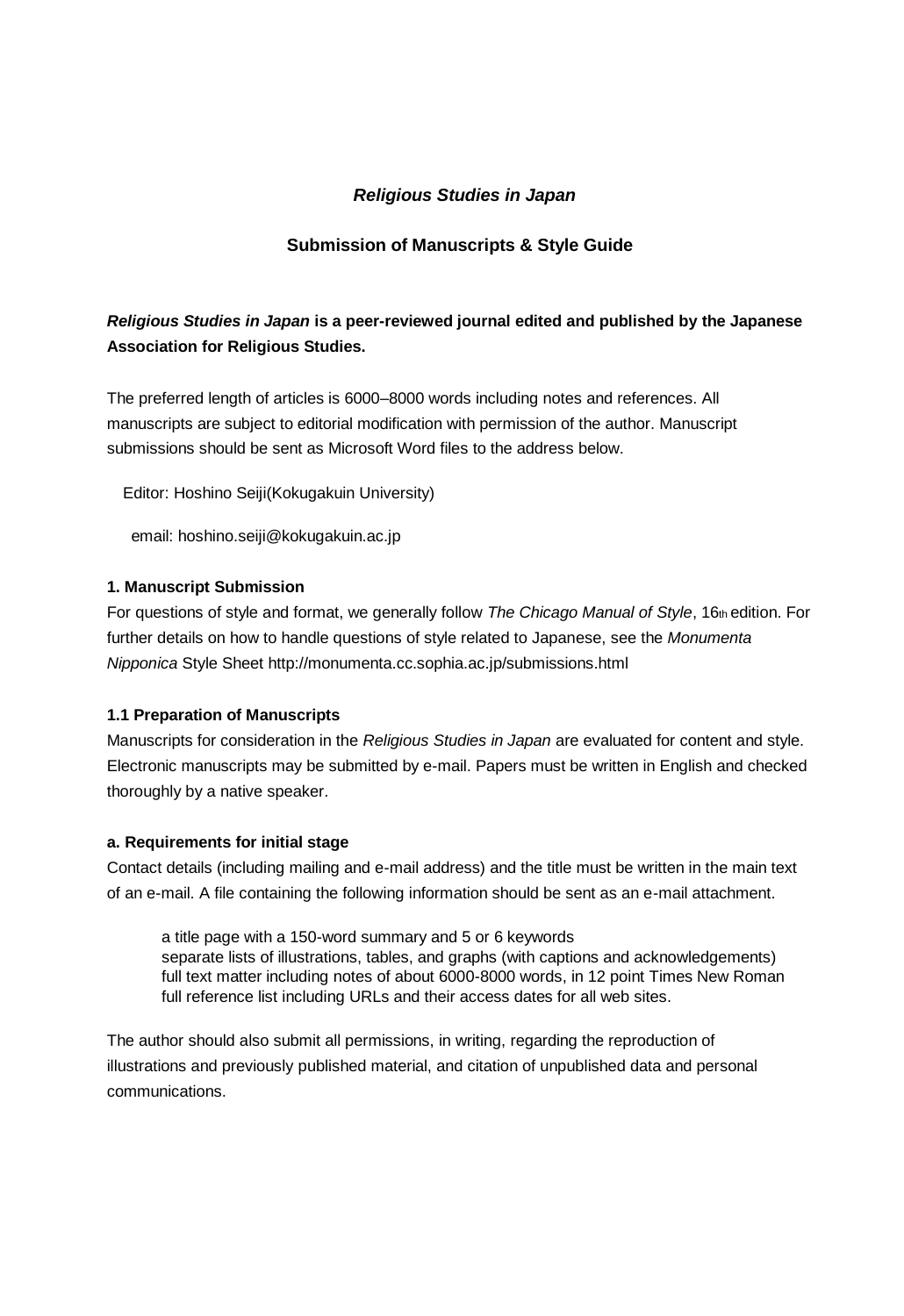# *Religious Studies in Japan*

# **Submission of Manuscripts & Style Guide**

# *Religious Studies in Japan* **is a peer-reviewed journal edited and published by the Japanese Association for Religious Studies.**

The preferred length of articles is 6000–8000 words including notes and references. All manuscripts are subject to editorial modification with permission of the author. Manuscript submissions should be sent as Microsoft Word files to the address below.

Editor: Hoshino Seiji(Kokugakuin University)

email: hoshino.seiji@kokugakuin.ac.jp

#### **1. Manuscript Submission**

For questions of style and format, we generally follow *The Chicago Manual of Style*, 16th edition. For further details on how to handle questions of style related to Japanese, see the *Monumenta Nipponica* Style Sheet http://monumenta.cc.sophia.ac.jp/submissions.html

#### **1.1 Preparation of Manuscripts**

Manuscripts for consideration in the *Religious Studies in Japan* are evaluated for content and style. Electronic manuscripts may be submitted by e-mail. Papers must be written in English and checked thoroughly by a native speaker.

#### **a. Requirements for initial stage**

Contact details (including mailing and e-mail address) and the title must be written in the main text of an e-mail. A file containing the following information should be sent as an e-mail attachment.

a title page with a 150-word summary and 5 or 6 keywords separate lists of illustrations, tables, and graphs (with captions and acknowledgements) full text matter including notes of about 6000-8000 words, in 12 point Times New Roman full reference list including URLs and their access dates for all web sites.

The author should also submit all permissions, in writing, regarding the reproduction of illustrations and previously published material, and citation of unpublished data and personal communications.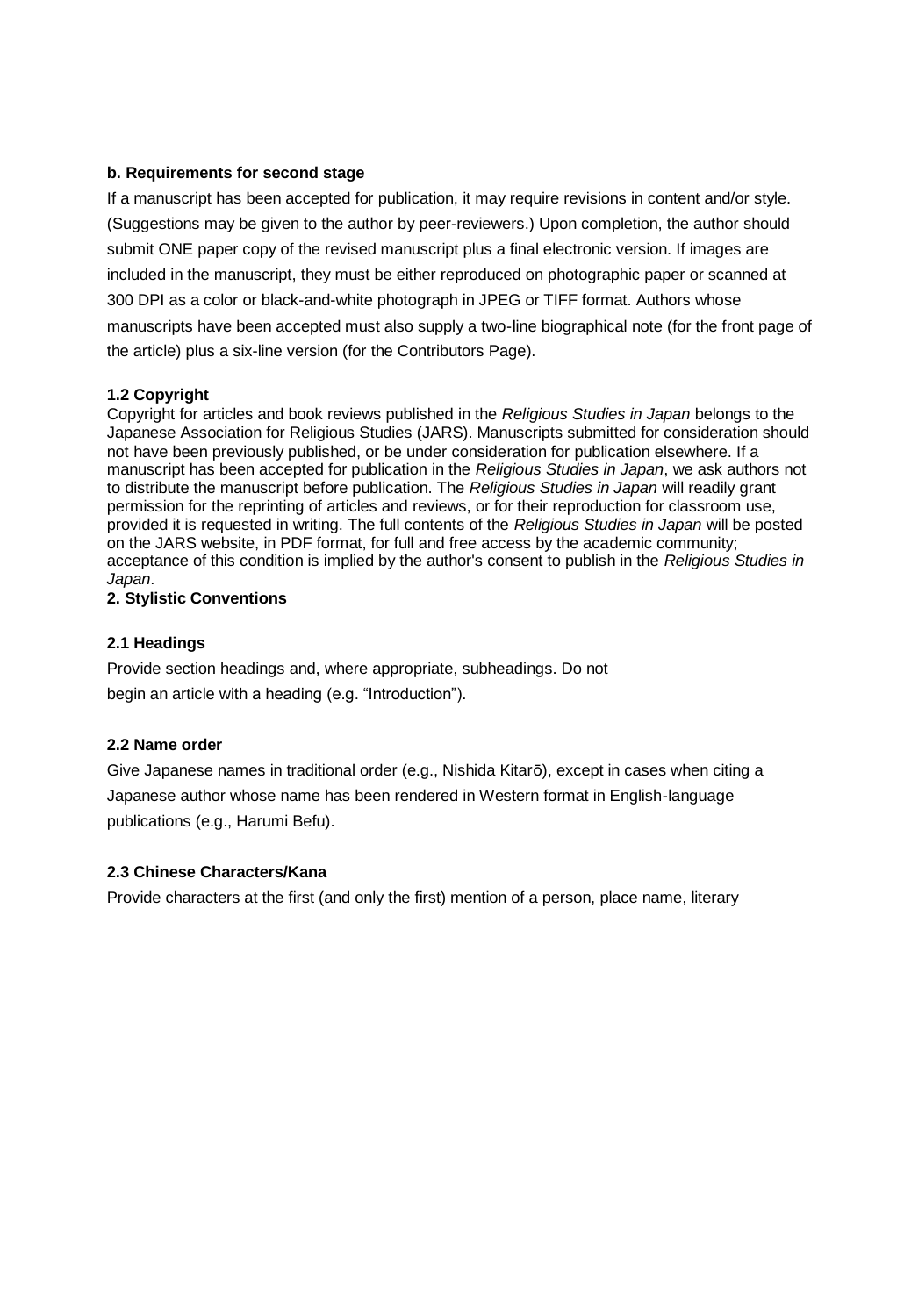## **b. Requirements for second stage**

If a manuscript has been accepted for publication, it may require revisions in content and/or style. (Suggestions may be given to the author by peer-reviewers.) Upon completion, the author should submit ONE paper copy of the revised manuscript plus a final electronic version. If images are included in the manuscript, they must be either reproduced on photographic paper or scanned at 300 DPI as a color or black-and-white photograph in JPEG or TIFF format. Authors whose manuscripts have been accepted must also supply a two-line biographical note (for the front page of the article) plus a six-line version (for the Contributors Page).

### **1.2 Copyright**

Copyright for articles and book reviews published in the *Religious Studies in Japan* belongs to the Japanese Association for Religious Studies (JARS). Manuscripts submitted for consideration should not have been previously published, or be under consideration for publication elsewhere. If a manuscript has been accepted for publication in the *Religious Studies in Japan*, we ask authors not to distribute the manuscript before publication. The *Religious Studies in Japan* will readily grant permission for the reprinting of articles and reviews, or for their reproduction for classroom use, provided it is requested in writing. The full contents of the *Religious Studies in Japan* will be posted on the JARS website, in PDF format, for full and free access by the academic community; acceptance of this condition is implied by the author's consent to publish in the *Religious Studies in Japan*.

### **2. Stylistic Conventions**

### **2.1 Headings**

Provide section headings and, where appropriate, subheadings. Do not begin an article with a heading (e.g. "Introduction").

## **2.2 Name order**

Give Japanese names in traditional order (e.g., Nishida Kitarō), except in cases when citing a Japanese author whose name has been rendered in Western format in English-language publications (e.g., Harumi Befu).

## **2.3 Chinese Characters/Kana**

Provide characters at the first (and only the first) mention of a person, place name, literary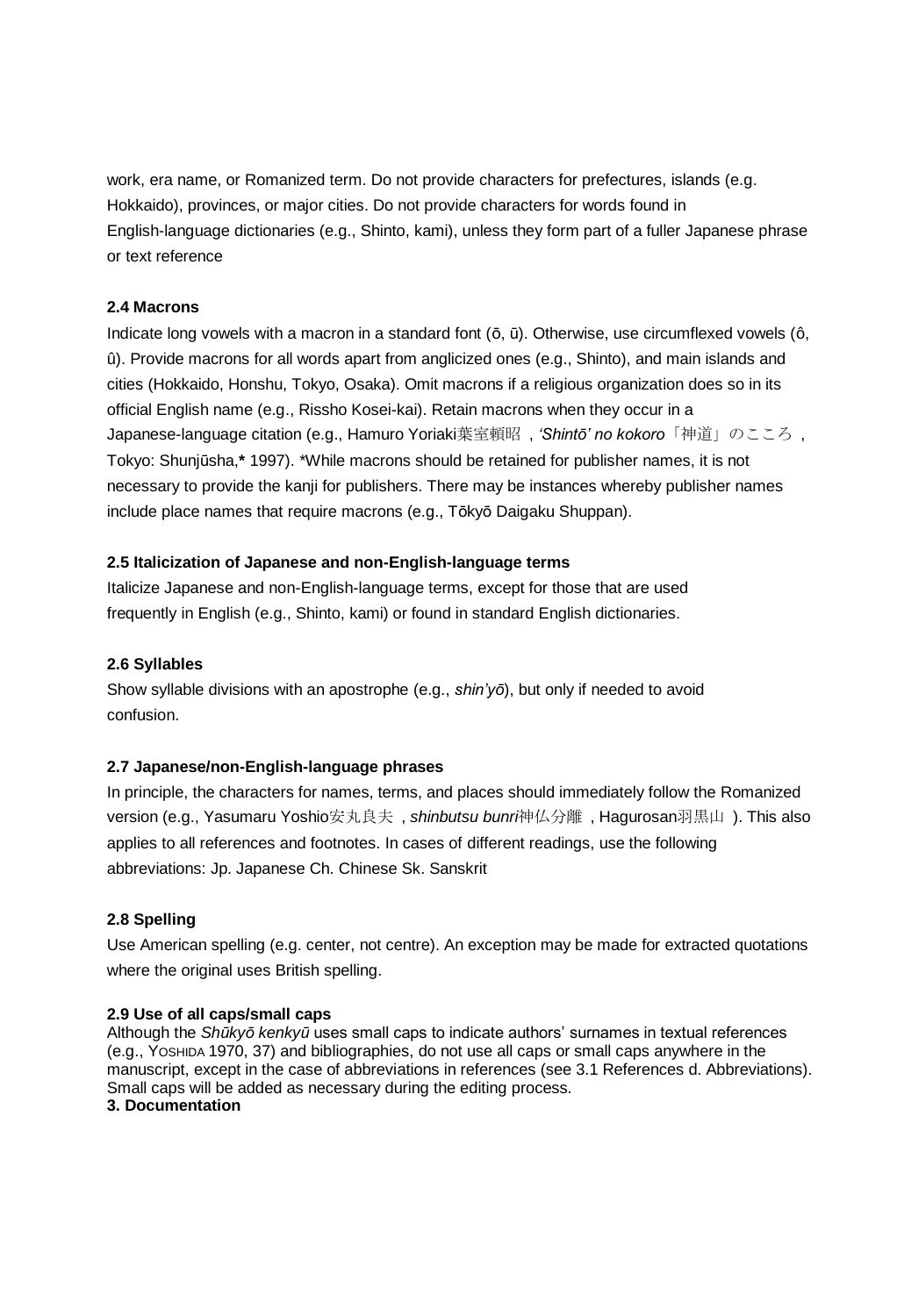work, era name, or Romanized term. Do not provide characters for prefectures, islands (e.g. Hokkaido), provinces, or major cities. Do not provide characters for words found in English-language dictionaries (e.g., Shinto, kami), unless they form part of a fuller Japanese phrase or text reference

### **2.4 Macrons**

Indicate long vowels with a macron in a standard font (ō, ū). Otherwise, use circumflexed vowels (ô, û). Provide macrons for all words apart from anglicized ones (e.g., Shinto), and main islands and cities (Hokkaido, Honshu, Tokyo, Osaka). Omit macrons if a religious organization does so in its official English name (e.g., Rissho Kosei-kai). Retain macrons when they occur in a Japanese-language citation (e.g., Hamuro Yoriaki葉室頼昭 , *'Shintō' no kokoro*「神道」のこころ , Tokyo: Shunjūsha,**\*** 1997). \*While macrons should be retained for publisher names, it is not necessary to provide the kanji for publishers. There may be instances whereby publisher names include place names that require macrons (e.g., Tōkyō Daigaku Shuppan).

## **2.5 Italicization of Japanese and non-English-language terms**

Italicize Japanese and non-English-language terms, except for those that are used frequently in English (e.g., Shinto, kami) or found in standard English dictionaries.

## **2.6 Syllables**

Show syllable divisions with an apostrophe (e.g., *shin'yō*), but only if needed to avoid confusion.

## **2.7 Japanese/non-English-language phrases**

In principle, the characters for names, terms, and places should immediately follow the Romanized version (e.g., Yasumaru Yoshio安丸良夫 , *shinbutsu bunri*神仏分離 , Hagurosan羽黒山 ). This also applies to all references and footnotes. In cases of different readings, use the following abbreviations: Jp. Japanese Ch. Chinese Sk. Sanskrit

## **2.8 Spelling**

Use American spelling (e.g. center, not centre). An exception may be made for extracted quotations where the original uses British spelling.

## **2.9 Use of all caps/small caps**

Although the *Shūkyō kenkyū* uses small caps to indicate authors' surnames in textual references (e.g., YOSHIDA 1970, 37) and bibliographies, do not use all caps or small caps anywhere in the manuscript, except in the case of abbreviations in references (see 3.1 References d. Abbreviations). Small caps will be added as necessary during the editing process.

## **3. Documentation**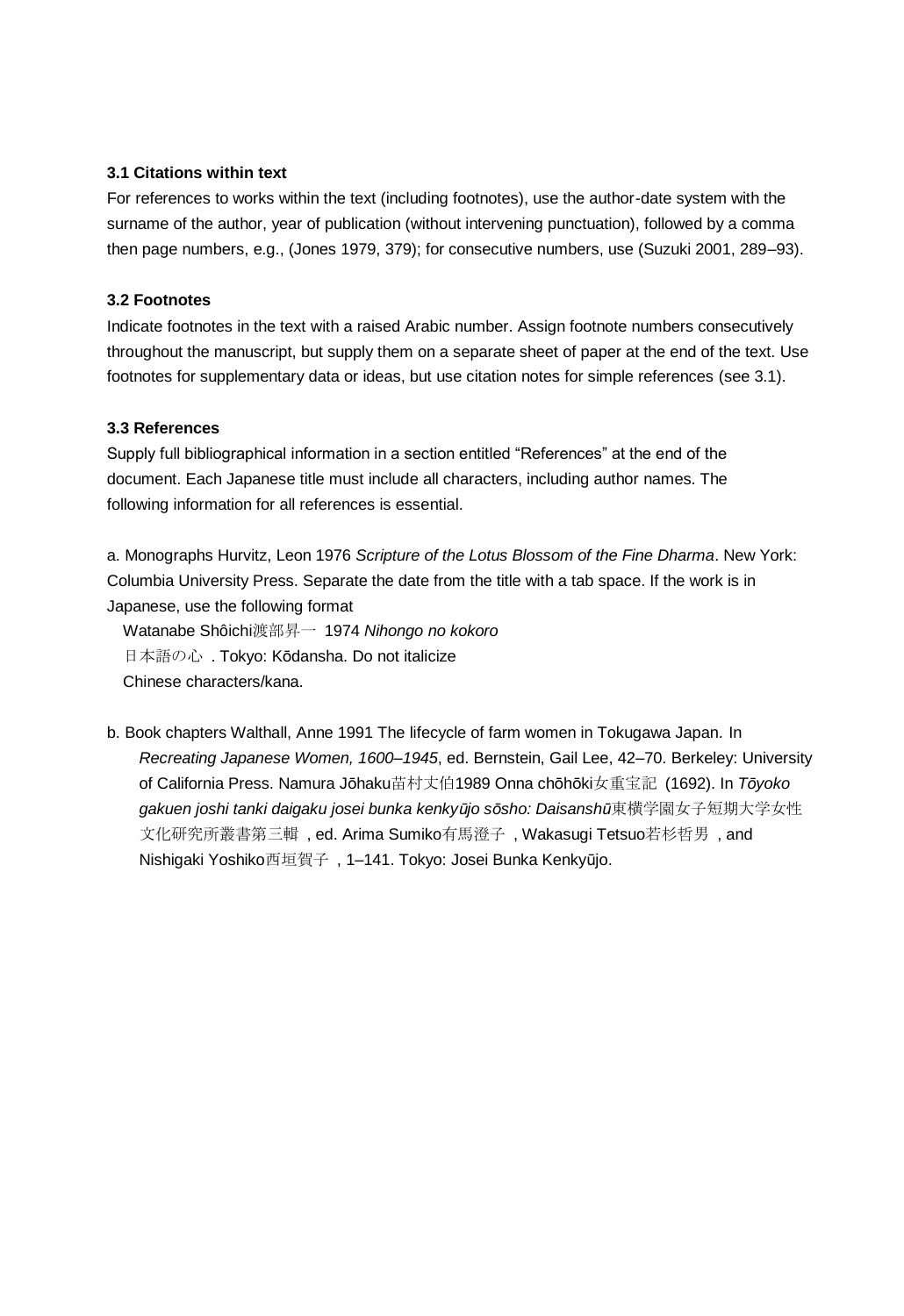### **3.1 Citations within text**

For references to works within the text (including footnotes), use the author-date system with the surname of the author, year of publication (without intervening punctuation), followed by a comma then page numbers, e.g., (Jones 1979, 379); for consecutive numbers, use (Suzuki 2001, 289–93).

## **3.2 Footnotes**

Indicate footnotes in the text with a raised Arabic number. Assign footnote numbers consecutively throughout the manuscript, but supply them on a separate sheet of paper at the end of the text. Use footnotes for supplementary data or ideas, but use citation notes for simple references (see 3.1).

### **3.3 References**

Supply full bibliographical information in a section entitled "References" at the end of the document. Each Japanese title must include all characters, including author names. The following information for all references is essential.

a. Monographs Hurvitz, Leon 1976 *Scripture of the Lotus Blossom of the Fine Dharma*. New York: Columbia University Press. Separate the date from the title with a tab space. If the work is in Japanese, use the following format

Watanabe Shôichi渡部昇一 1974 *Nihongo no kokoro* 日本語の心 . Tokyo: Kōdansha. Do not italicize Chinese characters/kana.

b. Book chapters Walthall, Anne 1991 The lifecycle of farm women in Tokugawa Japan*.* In *Recreating Japanese Women, 1600–1945*, ed. Bernstein, Gail Lee, 42–70. Berkeley: University of California Press. Namura Jōhaku苗村丈伯1989 Onna chōhōki女重宝記 (1692). In *Tōyoko gakuen joshi tanki daigaku josei bunka kenkyūjo sōsho: Daisanshū*東横学園女子短期大学女性 文化研究所叢書第三輯 , ed. Arima Sumiko有馬澄子 , Wakasugi Tetsuo若杉哲男 , and Nishigaki Yoshiko西垣賀子 , 1–141. Tokyo: Josei Bunka Kenkyūjo.